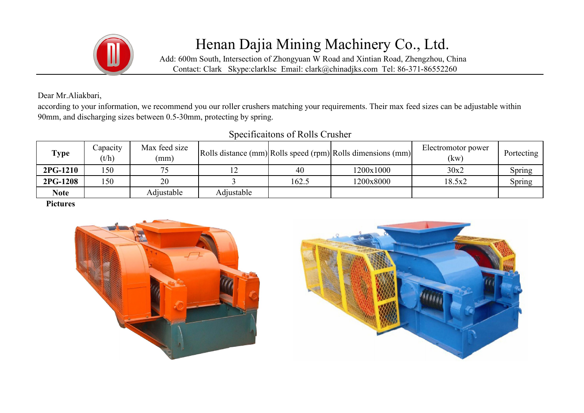

## Henan Dajia Mining Machinery Co., Ltd.

Add: 600m South, Intersection of Zhongyuan W Road and Xintian Road, Zhengzhou, China Contact: Clark Skype:clarklsc Email: clark@chinadjks.com Tel: 86-371-86552260

Dear Mr.Aliakbari,

according to your information, we recommend you our roller crushers matching your requirements. Their max feed sizes can be adjustable within 90mm, and discharging sizes between 0.5-30mm, protecting by spring.

## Specificaitons of Rolls Crusher

| <b>Type</b> | Capacity<br>(t/h) | Max feed size<br>(mm) |            |       | Rolls distance (mm) Rolls speed (rpm) Rolls dimensions (mm) | Electromotor power<br>(kw) | Portecting    |
|-------------|-------------------|-----------------------|------------|-------|-------------------------------------------------------------|----------------------------|---------------|
| 2PG-1210    | 150               |                       |            | 40    | 1200x1000                                                   | 30x2                       | Spring        |
| 2PG-1208    | 150               | 20                    |            | 162.5 | 1200x8000                                                   | 18.5x2                     | <b>Spring</b> |
| <b>Note</b> |                   | Adjustable            | Adjustable |       |                                                             |                            |               |

Pictures